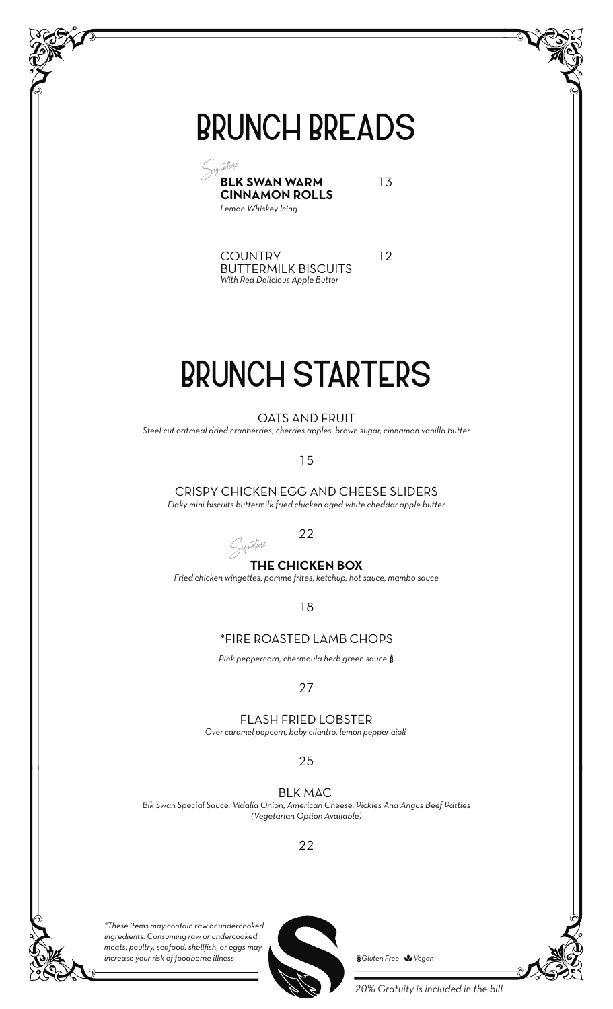# **BRUNCH BREADS**



13

12

COUNTRY BUTTERMILK BISCUITS *With Red Delicious Apple Butter*

# **BRUNCH STARTERS**

OATS AND FRUIT

*Steel cut oatmeal dried cranberries, cherries apples, brown sugar, cinnamon vanilla butter*

15

CRISPY CHICKEN EGG AND CHEESE SLIDERS *Flaky mini biscuits buttermilk fried chicken aged white cheddar apple butter*

#### 22

### **THE CHICKEN BOX** Signature

*Fried chicken wingettes, pomme frites, ketchup, hot sauce, mambo sauce*

18

#### \*FIRE ROASTED LAMB CHOPS

*Pink peppercorn, chermoula herb green sauce* 6

#### 27

FLASH FRIED LOBSTER

*Over caramel popcorn, baby cilantro, lemon pepper aioli* 

25

BLK MAC *Blk Swan Special Sauce, Vidalia Onion, American Cheese, Pickles And Angus Beef Patties (Vegetarian Option Available)*

22



*\*These items may contain raw or undercooked ingredients. Consuming raw or undercooked meats, poultry, seafood, shellfish, or eggs may increase your risk of foodborne illness* 6*Gluten Free* 7*Vegan*



*20% Gratuity is included in the bill*